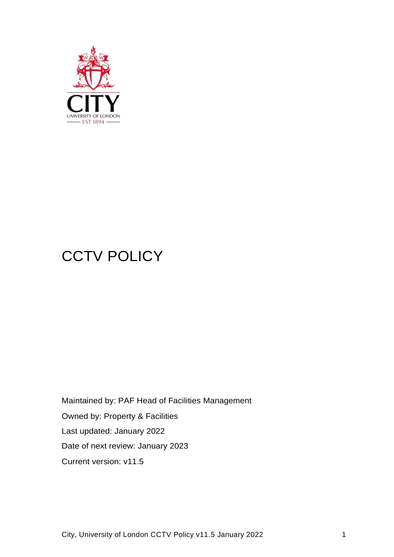

# **CCTV POLICY**

Maintained by: PAF Head of Facilities Management Owned by: Property & Facilities Last updated: January 2022 Date of next review: January 2023 Current version: v11.5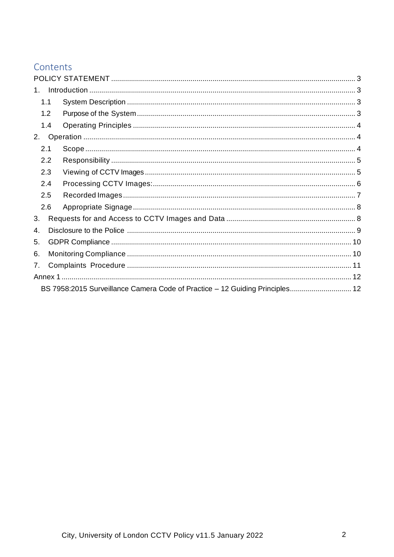# Contents

| $1_{-}$ |                                                                              |  |  |  |
|---------|------------------------------------------------------------------------------|--|--|--|
|         | 1.1                                                                          |  |  |  |
|         | 1.2                                                                          |  |  |  |
|         | 1.4                                                                          |  |  |  |
| 2.      |                                                                              |  |  |  |
| 2.1     |                                                                              |  |  |  |
|         | 2.2                                                                          |  |  |  |
|         | 2.3                                                                          |  |  |  |
|         | 2.4                                                                          |  |  |  |
|         | 2.5                                                                          |  |  |  |
|         | 2.6                                                                          |  |  |  |
| 3.      |                                                                              |  |  |  |
| 4.      |                                                                              |  |  |  |
| 5.      |                                                                              |  |  |  |
| 6.      |                                                                              |  |  |  |
| 7.      |                                                                              |  |  |  |
|         |                                                                              |  |  |  |
|         | BS 7958:2015 Surveillance Camera Code of Practice - 12 Guiding Principles 12 |  |  |  |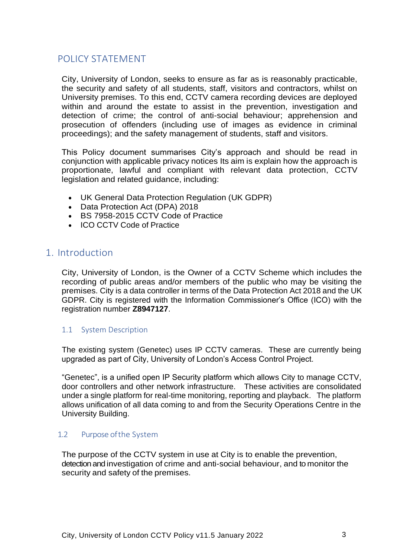# <span id="page-2-0"></span>POLICY STATEMENT

City, University of London, seeks to ensure as far as is reasonably practicable, the security and safety of all students, staff, visitors and contractors, whilst on University premises. To this end, CCTV camera recording devices are deployed within and around the estate to assist in the prevention, investigation and detection of crime; the control of anti-social behaviour; apprehension and prosecution of offenders (including use of images as evidence in criminal proceedings); and the safety management of students, staff and visitors.

This Policy document summarises City's approach and should be read in conjunction with applicable privacy notices Its aim is explain how the approach is proportionate, lawful and compliant with relevant data protection, CCTV legislation and related guidance, including:

- UK General Data Protection Regulation (UK GDPR)
- Data Protection Act (DPA) 2018
- BS 7958-2015 CCTV Code of Practice
- ICO CCTV Code of Practice

## <span id="page-2-1"></span>1. Introduction

City, University of London, is the Owner of a CCTV Scheme which includes the recording of public areas and/or members of the public who may be visiting the premises. City is a data controller in terms of the Data Protection Act 2018 and the UK GDPR. City is registered with the Information Commissioner's Office (ICO) with the registration number **Z8947127**.

#### <span id="page-2-2"></span>1.1 System Description

The existing system (Genetec) uses IP CCTV cameras. These are currently being upgraded as part of City, University of London's Access Control Project.

"Genetec", is a unified open IP Security platform which allows City to manage CCTV, door controllers and other network infrastructure. These activities are consolidated under a single platform for real-time monitoring, reporting and playback. The platform allows unification of all data coming to and from the Security Operations Centre in the University Building.

#### <span id="page-2-3"></span>1.2 Purpose ofthe System

The purpose of the CCTV system in use at City is to enable the prevention, detection and investigation of crime and anti-social behaviour, and to monitor the security and safety of the premises.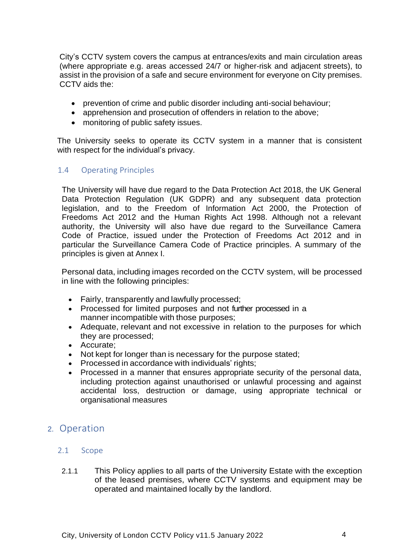City's CCTV system covers the campus at entrances/exits and main circulation areas (where appropriate e.g. areas accessed 24/7 or higher-risk and adjacent streets), to assist in the provision of a safe and secure environment for everyone on City premises. CCTV aids the:

- prevention of crime and public disorder including anti-social behaviour;
- apprehension and prosecution of offenders in relation to the above:
- monitoring of public safety issues.

The University seeks to operate its CCTV system in a manner that is consistent with respect for the individual's privacy.

#### <span id="page-3-0"></span>1.4 Operating Principles

The University will have due regard to the Data Protection Act 2018, the UK General Data Protection Regulation (UK GDPR) and any subsequent data protection legislation, and to the Freedom of Information Act 2000, the Protection of Freedoms Act 2012 and the Human Rights Act 1998. Although not a relevant authority, the University will also have due regard to the Surveillance Camera Code of Practice, issued under the Protection of Freedoms Act 2012 and in particular the Surveillance Camera Code of Practice principles. A summary of the principles is given at Annex I.

Personal data, including images recorded on the CCTV system, will be processed in line with the following principles:

- Fairly, transparently and lawfully processed;
- Processed for limited purposes and not further processed in a manner incompatible with those purposes;
- Adequate, relevant and not excessive in relation to the purposes for which they are processed;
- Accurate;
- Not kept for longer than is necessary for the purpose stated;
- Processed in accordance with individuals' rights;
- Processed in a manner that ensures appropriate security of the personal data, including protection against unauthorised or unlawful processing and against accidental loss, destruction or damage, using appropriate technical or organisational measures

# <span id="page-3-2"></span><span id="page-3-1"></span>2. Operation

- 2.1 Scope
- 2.1.1 This Policy applies to all parts of the University Estate with the exception of the leased premises, where CCTV systems and equipment may be operated and maintained locally by the landlord.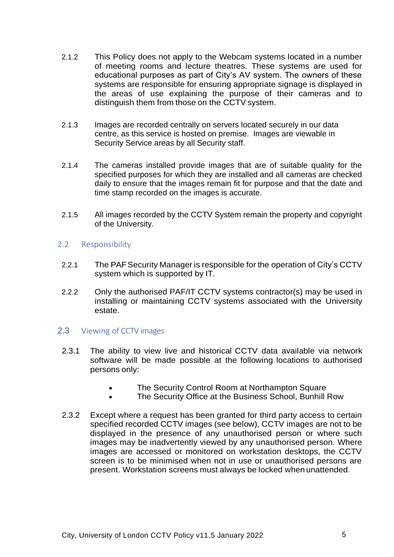- 2.1.2 This Policy does not apply to the Webcam systems located in a number of meeting rooms and lecture theatres. These systems are used for educational purposes as part of City's AV system. The owners of these systems are responsible for ensuring appropriate signage is displayed in the areas of use explaining the purpose of their cameras and to distinguish them from those on the CCTV system.
- 2.1.3 Images are recorded centrally on servers located securely in our data centre, as this service is hosted on premise. Images are viewable in Security Service areas by all Security staff.
- 2.1.4 The cameras installed provide images that are of suitable quality for the specified purposes for which they are installed and all cameras are checked daily to ensure that the images remain fit for purpose and that the date and time stamp recorded on the images is accurate.
- 2.1.5 All images recorded by the CCTV System remain the property and copyright of the University.

#### <span id="page-4-0"></span>2.2 Responsibility

- 2.2.1 The PAFSecurity Manager is responsible for the operation of City's CCTV system which is supported by IT.
- 2.2.2 Only the authorised PAF/IT CCTV systems contractor(s) may be used in installing or maintaining CCTV systems associated with the University estate.

## <span id="page-4-1"></span>2.3 Viewing of CCTV images

- 2.3.1 The ability to view live and historical CCTV data available via network software will be made possible at the following locations to authorised persons only:
	- The Security Control Room at Northampton Square
	- The Security Office at the Business School, Bunhill Row
- 2.3.2 Except where a request has been granted for third party access to certain specified recorded CCTV images (see below), CCTV images are not to be displayed in the presence of any unauthorised person or where such images may be inadvertently viewed by any unauthorised person. Where images are accessed or monitored on workstation desktops, the CCTV screen is to be minimised when not in use or unauthorised persons are present. Workstation screens must always be locked when unattended.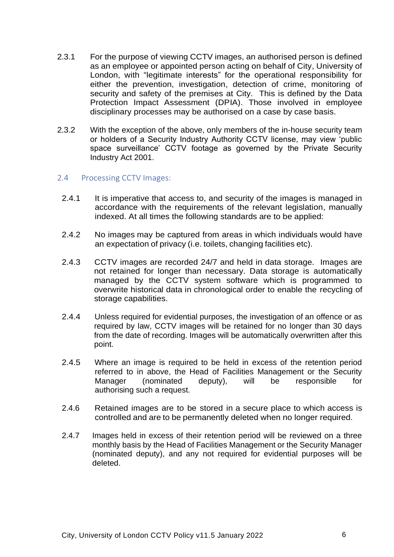- 2.3.1 For the purpose of viewing CCTV images, an authorised person is defined as an employee or appointed person acting on behalf of City, University of London, with "legitimate interests" for the operational responsibility for either the prevention, investigation, detection of crime, monitoring of security and safety of the premises at City. This is defined by the Data Protection Impact Assessment (DPIA). Those involved in employee disciplinary processes may be authorised on a case by case basis.
- 2.3.2 With the exception of the above, only members of the in-house security team or holders of a Security Industry Authority CCTV license, may view 'public space surveillance' CCTV footage as governed by the Private Security Industry Act 2001.

#### <span id="page-5-0"></span>2.4 Processing CCTV Images:

- 2.4.1 It is imperative that access to, and security of the images is managed in accordance with the requirements of the relevant legislation, manually indexed. At all times the following standards are to be applied:
- 2.4.2 No images may be captured from areas in which individuals would have an expectation of privacy (i.e. toilets, changing facilities etc).
- 2.4.3 CCTV images are recorded 24/7 and held in data storage. Images are not retained for longer than necessary. Data storage is automatically managed by the CCTV system software which is programmed to overwrite historical data in chronological order to enable the recycling of storage capabilities.
- 2.4.4 Unless required for evidential purposes, the investigation of an offence or as required by law, CCTV images will be retained for no longer than 30 days from the date of recording. Images will be automatically overwritten after this point.
- 2.4.5 Where an image is required to be held in excess of the retention period referred to in above, the Head of Facilities Management or the Security Manager (nominated deputy), will be responsible for authorising such a request.
- 2.4.6 Retained images are to be stored in a secure place to which access is controlled and are to be permanently deleted when no longer required.
- 2.4.7 Images held in excess of their retention period will be reviewed on a three monthly basis by the Head of Facilities Management or the Security Manager (nominated deputy), and any not required for evidential purposes will be deleted.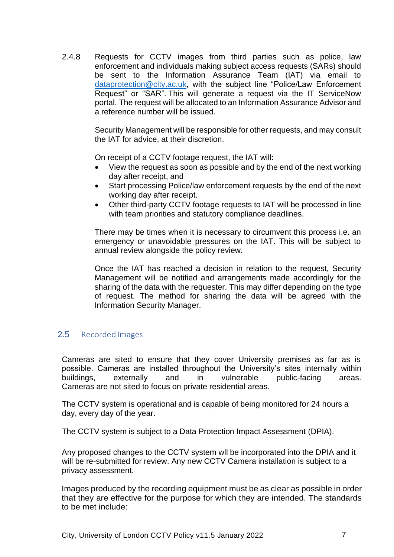2.4.8 Requests for CCTV images from third parties such as police, law enforcement and individuals making subject access requests (SARs) should be sent to the Information Assurance Team (IAT) via email to [dataprotection@city.ac.uk,](mailto:dataprotection@city.ac.uk) with the subject line "Police/Law Enforcement Request" or "SAR". This will generate a request via the IT ServiceNow portal. The request will be allocated to an Information Assurance Advisor and a reference number will be issued.

> Security Management will be responsible for other requests, and may consult the IAT for advice, at their discretion.

On receipt of a CCTV footage request, the IAT will:

- View the request as soon as possible and by the end of the next working day after receipt, and
- Start processing Police/law enforcement requests by the end of the next working day after receipt.
- Other third-party CCTV footage requests to IAT will be processed in line with team priorities and statutory compliance deadlines.

There may be times when it is necessary to circumvent this process i.e. an emergency or unavoidable pressures on the IAT. This will be subject to annual review alongside the policy review.

Once the IAT has reached a decision in relation to the request, Security Management will be notified and arrangements made accordingly for the sharing of the data with the requester. This may differ depending on the type of request. The method for sharing the data will be agreed with the Information Security Manager.

## <span id="page-6-0"></span>2.5 Recorded Images

Cameras are sited to ensure that they cover University premises as far as is possible. Cameras are installed throughout the University's sites internally within buildings, externally and in vulnerable public-facing areas. Cameras are not sited to focus on private residential areas.

The CCTV system is operational and is capable of being monitored for 24 hours a day, every day of the year.

The CCTV system is subject to a Data Protection Impact Assessment (DPIA).

Any proposed changes to the CCTV system wll be incorporated into the DPIA and it will be re-submitted for review. Any new CCTV Camera installation is subject to a privacy assessment.

Images produced by the recording equipment must be as clear as possible in order that they are effective for the purpose for which they are intended. The standards to be met include: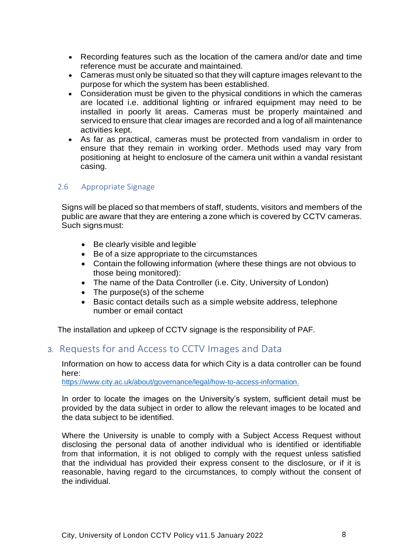- Recording features such as the location of the camera and/or date and time reference must be accurate and maintained.
- Cameras must only be situated so that they will capture images relevant to the purpose for which the system has been established.
- Consideration must be given to the physical conditions in which the cameras are located i.e. additional lighting or infrared equipment may need to be installed in poorly lit areas. Cameras must be properly maintained and serviced to ensure that clear images are recorded and a log of all maintenance activities kept.
- As far as practical, cameras must be protected from vandalism in order to ensure that they remain in working order. Methods used may vary from positioning at height to enclosure of the camera unit within a vandal resistant casing.

## <span id="page-7-0"></span>2.6 Appropriate Signage

Signs will be placed so that members of staff, students, visitors and members of the public are aware that they are entering a zone which is covered by CCTV cameras. Such signsmust:

- Be clearly visible and legible
- Be of a size appropriate to the circumstances
- Contain the following information (where these things are not obvious to those being monitored):
- The name of the Data Controller (i.e. City, University of London)
- The purpose(s) of the scheme
- Basic contact details such as a simple website address, telephone number or email contact

The installation and upkeep of CCTV signage is the responsibility of PAF.

# <span id="page-7-1"></span>3. Requests for and Access to CCTV Images and Data

Information on how to access data for which City is a data controller can be found here:

[https://www.city.ac.uk/about/governance/legal/how-to-access-information.](https://www.city.ac.uk/about/governance/legal/how-to-access-information)

In order to locate the images on the University's system, sufficient detail must be provided by the data subject in order to allow the relevant images to be located and the data subject to be identified.

Where the University is unable to comply with a Subject Access Request without disclosing the personal data of another individual who is identified or identifiable from that information, it is not obliged to comply with the request unless satisfied that the individual has provided their express consent to the disclosure, or if it is reasonable, having regard to the circumstances, to comply without the consent of the individual.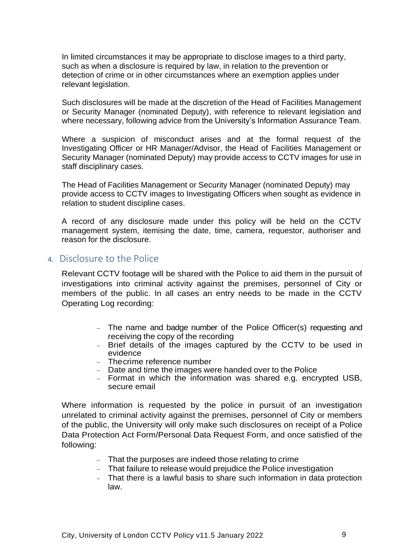In limited circumstances it may be appropriate to disclose images to a third party, such as when a disclosure is required by law, in relation to the prevention or detection of crime or in other circumstances where an exemption applies under relevant legislation.

Such disclosures will be made at the discretion of the Head of Facilities Management or Security Manager (nominated Deputy), with reference to relevant legislation and where necessary, following advice from the University's Information Assurance Team.

Where a suspicion of misconduct arises and at the formal request of the Investigating Officer or HR Manager/Advisor, the Head of Facilities Management or Security Manager (nominated Deputy) may provide access to CCTV images for use in staff disciplinary cases.

The Head of Facilities Management or Security Manager (nominated Deputy) may provide access to CCTV images to Investigating Officers when sought as evidence in relation to student discipline cases.

A record of any disclosure made under this policy will be held on the CCTV management system, itemising the date, time, camera, requestor, authoriser and reason for the disclosure.

## <span id="page-8-0"></span>4. Disclosure to the Police

Relevant CCTV footage will be shared with the Police to aid them in the pursuit of investigations into criminal activity against the premises, personnel of City or members of the public. In all cases an entry needs to be made in the CCTV Operating Log recording:

- − The name and badge number of the Police Officer(s) requesting and receiving the copy of the recording
- − Brief details of the images captured by the CCTV to be used in evidence
- − Thecrime reference number
- − Date and time the images were handed over to the Police
- − Format in which the information was shared e.g. encrypted USB, secure email

Where information is requested by the police in pursuit of an investigation unrelated to criminal activity against the premises, personnel of City or members of the public, the University will only make such disclosures on receipt of a Police Data Protection Act Form/Personal Data Request Form, and once satisfied of the following:

- − That the purposes are indeed those relating to crime
- − That failure to release would prejudice the Police investigation
- − That there is a lawful basis to share such information in data protection law.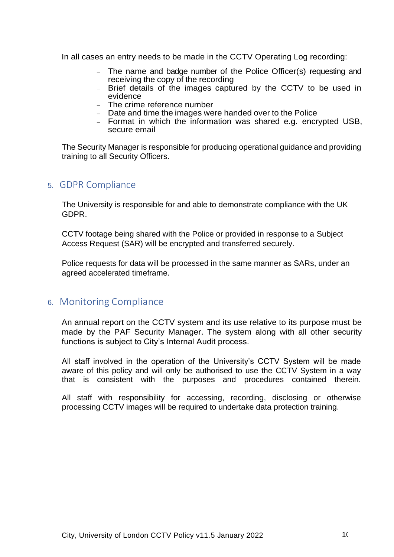In all cases an entry needs to be made in the CCTV Operating Log recording:

- − The name and badge number of the Police Officer(s) requesting and receiving the copy of the recording
- − Brief details of the images captured by the CCTV to be used in evidence
- − The crime reference number
- − Date and time the images were handed over to the Police
- − Format in which the information was shared e.g. encrypted USB, secure email

The Security Manager is responsible for producing operational guidance and providing training to all Security Officers.

## <span id="page-9-0"></span>5. GDPR Compliance

The University is responsible for and able to demonstrate compliance with the UK GDPR.

CCTV footage being shared with the Police or provided in response to a Subject Access Request (SAR) will be encrypted and transferred securely.

Police requests for data will be processed in the same manner as SARs, under an agreed accelerated timeframe.

# <span id="page-9-1"></span>6. Monitoring Compliance

An annual report on the CCTV system and its use relative to its purpose must be made by the PAF Security Manager. The system along with all other security functions is subject to City's Internal Audit process.

All staff involved in the operation of the University's CCTV System will be made aware of this policy and will only be authorised to use the CCTV System in a way that is consistent with the purposes and procedures contained therein.

All staff with responsibility for accessing, recording, disclosing or otherwise processing CCTV images will be required to undertake data protection training.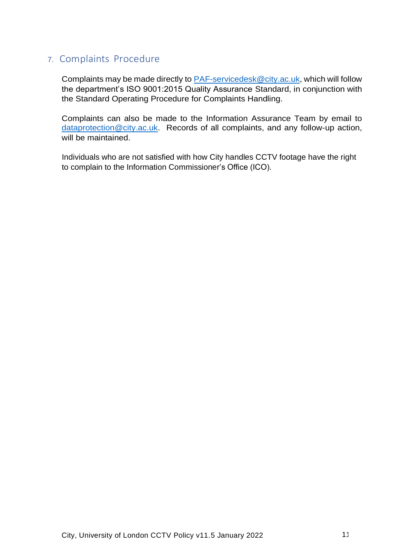# <span id="page-10-0"></span>7. Complaints Procedure

Complaints may be made directly to [PAF-servicedesk@city.ac.uk,](mailto:PAF-servicedesk@city.ac.uk) which will follow the department's ISO 9001:2015 Quality Assurance Standard, in conjunction with the Standard Operating Procedure for Complaints Handling.

Complaints can also be made to the Information Assurance Team by email to [dataprotection@city.ac.uk.](mailto:dataprotection@city.ac.uk) Records of all complaints, and any follow-up action, will be maintained.

Individuals who are not satisfied with how City handles CCTV footage have the right to complain to the Information Commissioner's Office (ICO).